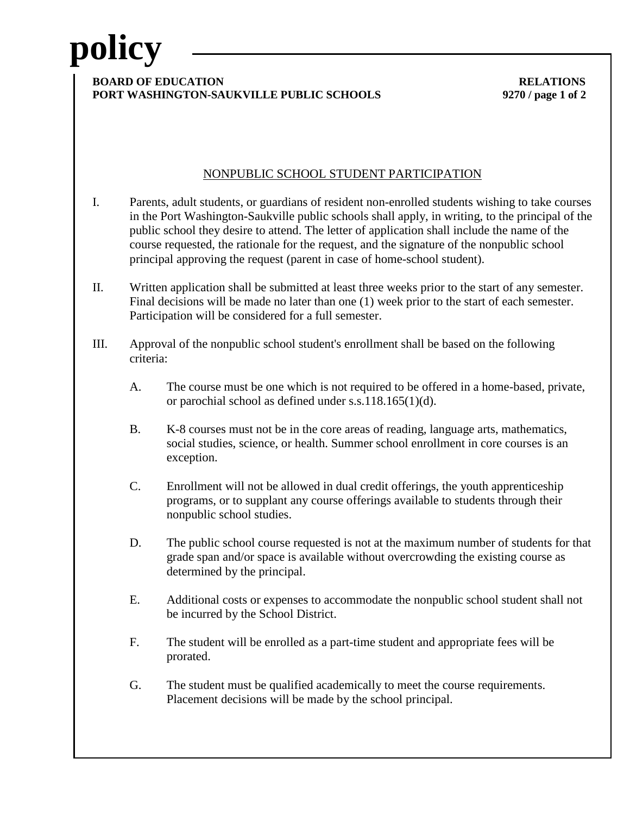# **policy**

### **BOARD OF EDUCATION RELATIONS PORT WASHINGTON-SAUKVILLE PUBLIC SCHOOLS 9270 / page 1 of 2**

## NONPUBLIC SCHOOL STUDENT PARTICIPATION

- I. Parents, adult students, or guardians of resident non-enrolled students wishing to take courses in the Port Washington-Saukville public schools shall apply, in writing, to the principal of the public school they desire to attend. The letter of application shall include the name of the course requested, the rationale for the request, and the signature of the nonpublic school principal approving the request (parent in case of home-school student).
- II. Written application shall be submitted at least three weeks prior to the start of any semester. Final decisions will be made no later than one (1) week prior to the start of each semester. Participation will be considered for a full semester.
- III. Approval of the nonpublic school student's enrollment shall be based on the following criteria:
	- A. The course must be one which is not required to be offered in a home-based, private, or parochial school as defined under s.s.118.165(1)(d).
	- B. K-8 courses must not be in the core areas of reading, language arts, mathematics, social studies, science, or health. Summer school enrollment in core courses is an exception.
	- C. Enrollment will not be allowed in dual credit offerings, the youth apprenticeship programs, or to supplant any course offerings available to students through their nonpublic school studies.
	- D. The public school course requested is not at the maximum number of students for that grade span and/or space is available without overcrowding the existing course as determined by the principal.
	- E. Additional costs or expenses to accommodate the nonpublic school student shall not be incurred by the School District.
	- F. The student will be enrolled as a part-time student and appropriate fees will be prorated.
	- G. The student must be qualified academically to meet the course requirements. Placement decisions will be made by the school principal.